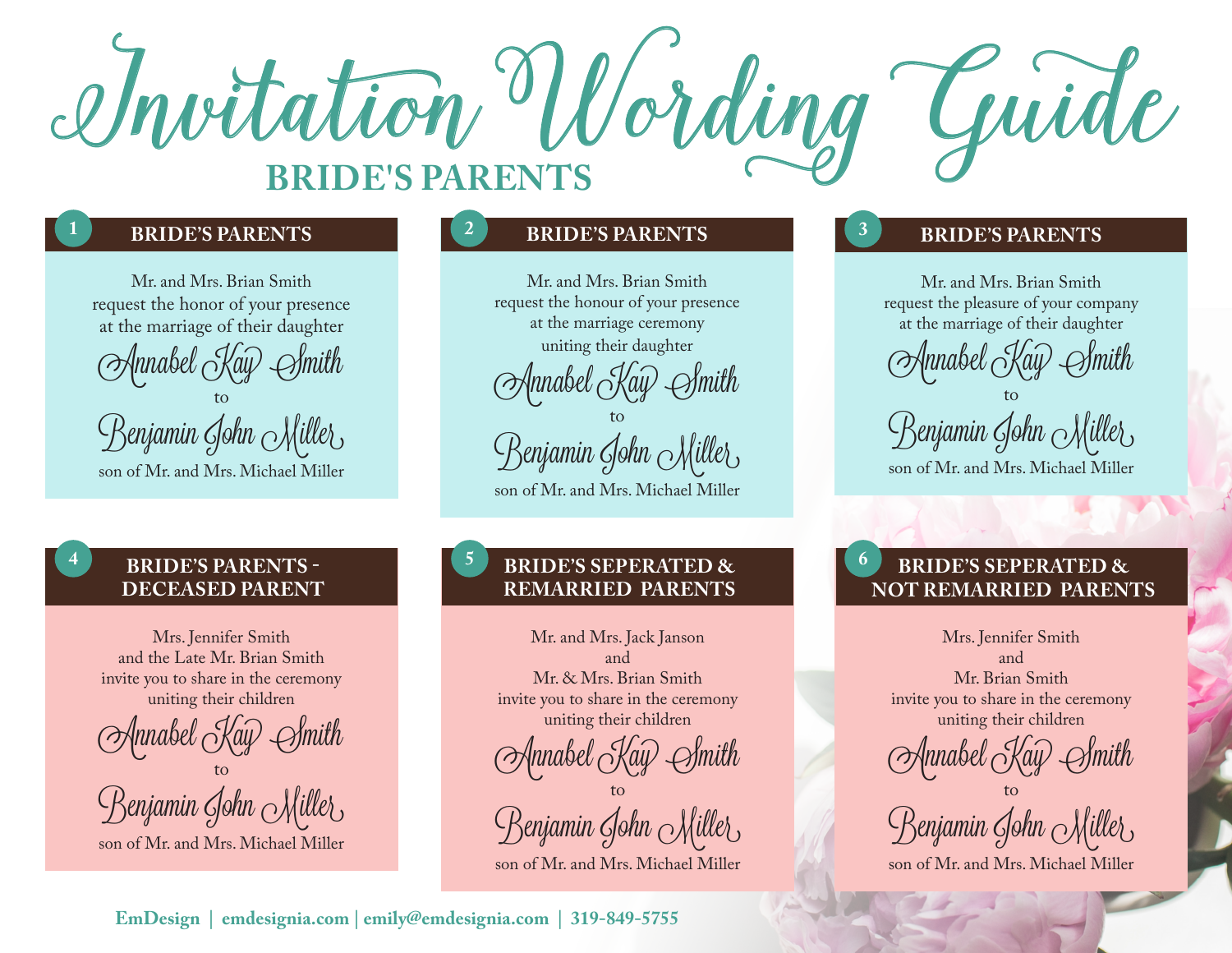

Mr. and Mrs. Brian Smith request the honor of your presence at the marriage of their daughter Annabel Kay to Benjamin John Miller

son of Mr. and Mrs. Michael Miller

### **BRIDE'S PARENTS - DECEASED PARENT**

Mrs. Jennifer Smith and the Late Mr. Brian Smith invite you to share in the ceremony uniting their children

Annabel Kay Smith to

Benjamin John Miller

son of Mr. and Mrs. Michael Miller

### **1 2 3**

Mr. and Mrs. Brian Smith request the honour of your presence at the marriage ceremony uniting their daughter

 $\text{\emph{[nnabel}} \text{\emph{[Kau]}}$ 

to Benjamin John Miller son of Mr. and Mrs. Michael Miller

### **4 5 6 BRIDE'S SEPERATED & REMARRIED PARENTS**

Mr. and Mrs. Jack Janson and Mr. & Mrs. Brian Smith invite you to share in the ceremony uniting their children

Annabel <sub>C</sub>Ray<sup>)</sup> Smith

to Benjamin Gohn Miller

son of Mr. and Mrs. Michael Miller

### **BRIDE'S PARENTS BRIDE'S PARENTS BRIDE'S PARENTS**

Mr. and Mrs. Brian Smith request the pleasure of your company at the marriage of their daughter

Annabel <sub>(</sub>Kay

to Benjamin John Miller,

son of Mr. and Mrs. Michael Miller

### **BRIDE'S SEPERATED & NOT REMARRIED PARENTS**

Mrs. Jennifer Smith and Mr. Brian Smith invite you to share in the ceremony uniting their children

Annabel <sub>C</sub>Ray<sup>)</sup> Smith

to Benjamin John Miller

son of Mr. and Mrs. Michael Miller

**EmDesign | emdesignia.com | emily@emdesignia.com | 319-849-5755**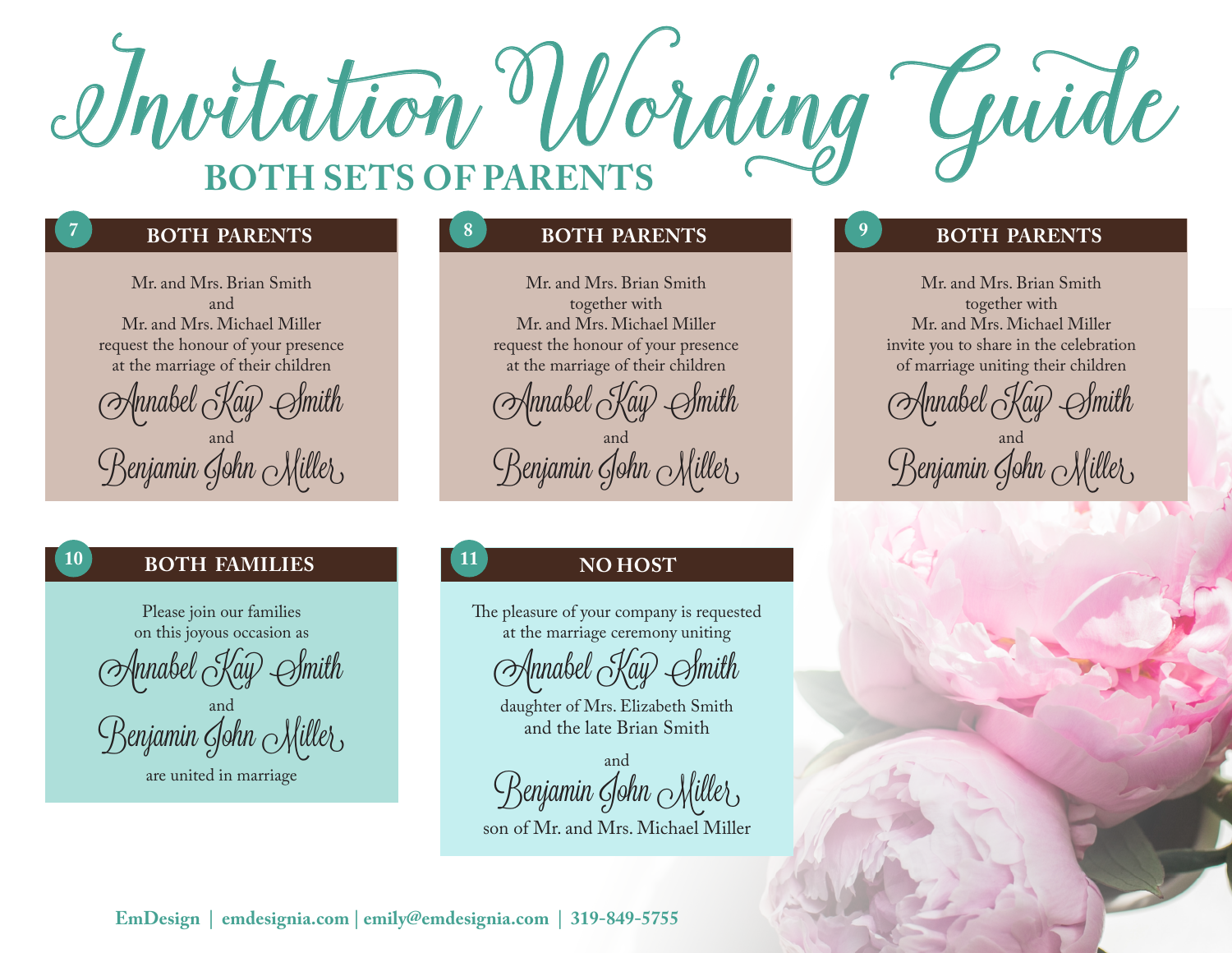

**7**

**10**

Mr. and Mrs. Brian Smith and Mr. and Mrs. Michael Miller request the honour of your presence at the marriage of their children Annabel Kay Smith

and Benjamin Gohn <sub>M</sub>illet

### **BOTH FAMILIES**

Please join our families on this joyous occasion as

Annabel Kay Smith

and Benjamin Gohn <sub>M</sub>illet

are united in marriage

### **8 8 8 BOTH PARENTS**

Mr. and Mrs. Brian Smith together with Mr. and Mrs. Michael Miller request the honour of your presence at the marriage of their children

Annabel Kay Smith and Benjamin Gohn <sub>M</sub>ille{

### **11 NO HOST**

The pleasure of your company is requested at the marriage ceremony uniting

|nnabel  $\sim$ Ka $\widehat{\psi}$ 

daughter of Mrs. Elizabeth Smith and the late Brian Smith

and Benjamin Gohn Miller son of Mr. and Mrs. Michael Miller

### **BOTH PARENTS BOTH PARENTS**

Mr. and Mrs. Brian Smith together with Mr. and Mrs. Michael Miller invite you to share in the celebration of marriage uniting their children

Annabel Kay Smith and Benjamin Gohn <sub>M</sub>illet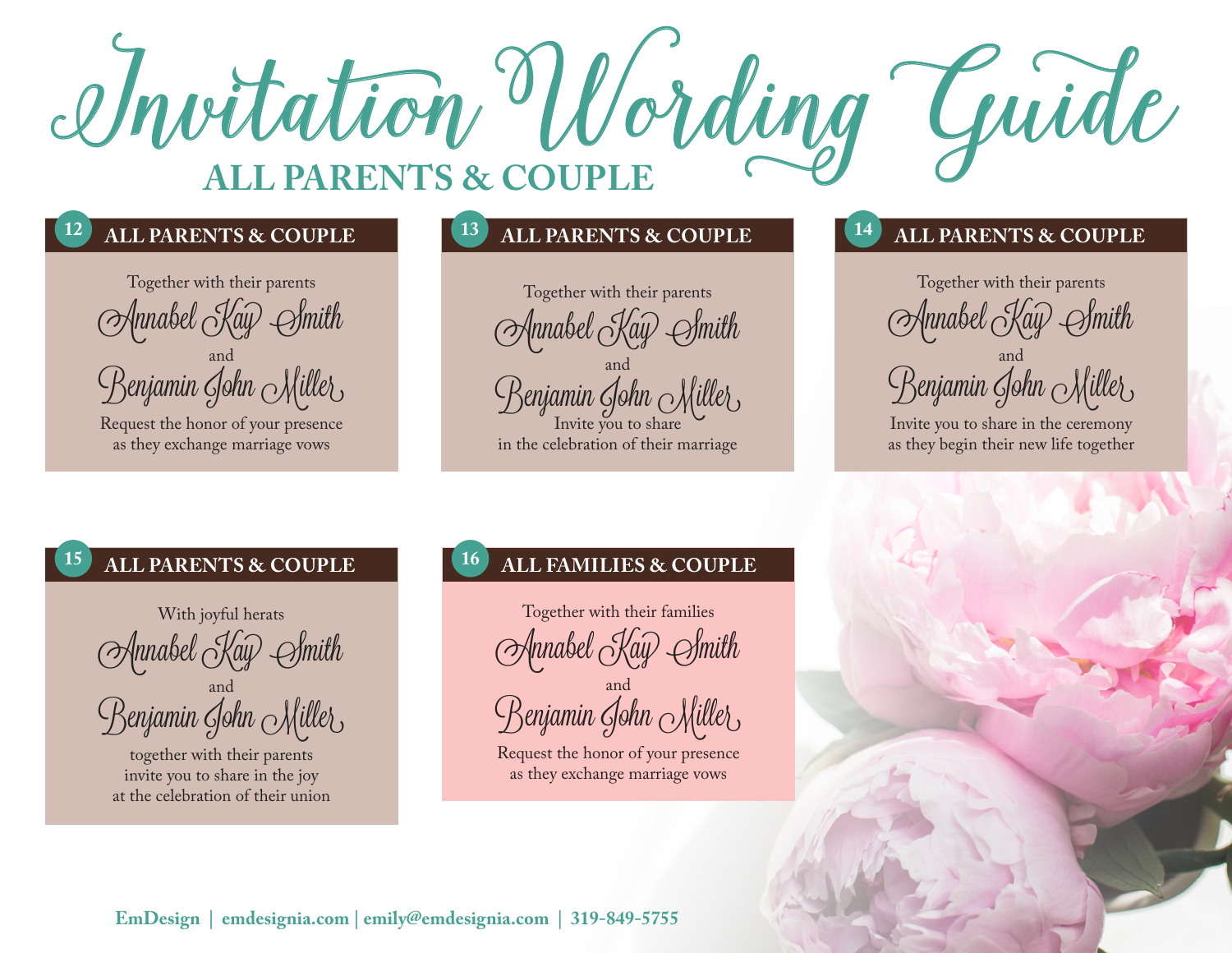

### **12**

Together with their parents Annabel Kay Smith and Benjamin Gohn Miller

Request the honor of your presence as they exchange marriage vows

### **13 14 ALL PARENTS & COUPLE**

Together with their parents Annabel Kay Smith and Benjamin Gohn <sub>M</sub>illet

Invite you to share in the celebration of their marriage

### **ALL PARENTS & COUPLE ALL PARENTS & COUPLE**

Together with their parents (Mnnabel <sub>C</sub>Kay) *S*hmith

and Benjamin Gohn Miller

Invite you to share in the ceremony as they begin their new life together

### **15 16**

With joyful herats Annabel Kay Smith and

Benjamin Gohn Miller

together with their parents invite you to share in the joy at the celebration of their union

### **ALL PARENTS & COUPLE ALL FAMILIES & COUPLE**

Together with their families Annabel *K*ay *S*mith and

Benjamin Gohn Miller

Request the honor of your presence as they exchange marriage vows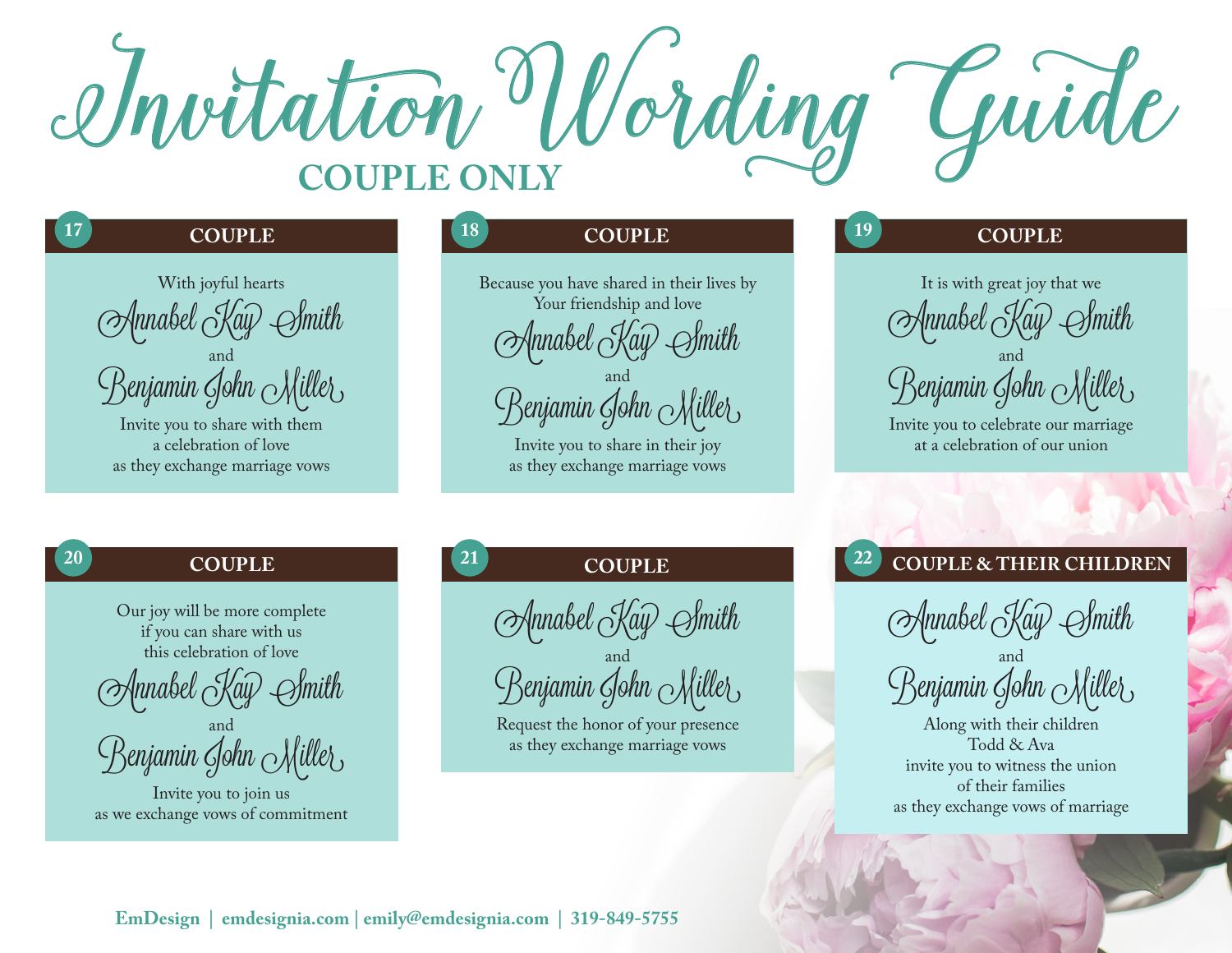

## **COUPLE**

**17**

**20**

With joyful hearts  $\langle \rangle$ 4mabel (Ka $\widehat{\psi}$ and Benjamin Gohn Miller

Invite you to share with them a celebration of love as they exchange marriage vows

# **18 19**

Because you have shared in their lives by Your friendship and love nnabel  $\vec{C}$ k and Benjamin John  $\alpha\lambda$ 

> Invite you to share in their joy as they exchange marriage vows

### **COUPLE COUPLE**

It is with great joy that we  $\forall$ nnabel  $\stackrel{\sim}{\curvearrowright}$ k and Benjamin Gohn Miller

### **COUPLE**

Our joy will be more complete if you can share with us this celebration of love

nnabel  $\acute{S}$ 

and Benjamin Gohn <sub>M</sub>illet

Invite you to join us as we exchange vows of commitment

## **21 22**

Annabel Kay Smith

and Benjamin Gohn <sub>M</sub>illet

Request the honor of your presence as they exchange marriage vows

# **COUPLE COUPLE & THEIR CHILDREN**

Annabel Kay Smith

and Benjamin Gohn <sub>M</sub>illet

Along with their children Todd & Ava invite you to witness the union of their families as they exchange vows of marriage

Invite you to celebrate our marriage at a celebration of our union